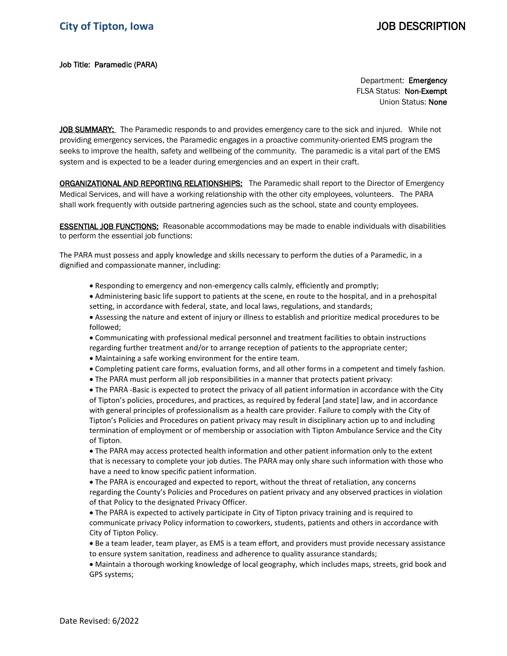## Job Title: Paramedic (PARA)

Department: Emergency FLSA Status: Non-Exempt Union Status: None

JOB SUMMARY: The Paramedic responds to and provides emergency care to the sick and injured. While not providing emergency services, the Paramedic engages in a proactive community-oriented EMS program the seeks to improve the health, safety and wellbeing of the community. The paramedic is a vital part of the EMS system and is expected to be a leader during emergencies and an expert in their craft.

**ORGANIZATIONAL AND REPORTING RELATIONSHIPS:** The Paramedic shall report to the Director of Emergency Medical Services, and will have a working relationship with the other city employees, volunteers. The PARA shall work frequently with outside partnering agencies such as the school, state and county employees.

**ESSENTIAL JOB FUNCTIONS:** Reasonable accommodations may be made to enable individuals with disabilities to perform the essential job functions:

The PARA must possess and apply knowledge and skills necessary to perform the duties of a Paramedic, in a dignified and compassionate manner, including:

• Responding to emergency and non-emergency calls calmly, efficiently and promptly;

• Administering basic life support to patients at the scene, en route to the hospital, and in a prehospital setting, in accordance with federal, state, and local laws, regulations, and standards;

• Assessing the nature and extent of injury or illness to establish and prioritize medical procedures to be followed;

• Communicating with professional medical personnel and treatment facilities to obtain instructions regarding further treatment and/or to arrange reception of patients to the appropriate center;

- Maintaining a safe working environment for the entire team.
- Completing patient care forms, evaluation forms, and all other forms in a competent and timely fashion.
- The PARA must perform all job responsibilities in a manner that protects patient privacy:

• The PARA -Basic is expected to protect the privacy of all patient information in accordance with the City of Tipton's policies, procedures, and practices, as required by federal [and state] law, and in accordance with general principles of professionalism as a health care provider. Failure to comply with the City of Tipton's Policies and Procedures on patient privacy may result in disciplinary action up to and including termination of employment or of membership or association with Tipton Ambulance Service and the City of Tipton.

• The PARA may access protected health information and other patient information only to the extent that is necessary to complete your job duties. The PARA may only share such information with those who have a need to know specific patient information.

• The PARA is encouraged and expected to report, without the threat of retaliation, any concerns regarding the County's Policies and Procedures on patient privacy and any observed practices in violation of that Policy to the designated Privacy Officer.

• The PARA is expected to actively participate in City of Tipton privacy training and is required to communicate privacy Policy information to coworkers, students, patients and others in accordance with City of Tipton Policy.

• Be a team leader, team player, as EMS is a team effort, and providers must provide necessary assistance to ensure system sanitation, readiness and adherence to quality assurance standards;

• Maintain a thorough working knowledge of local geography, which includes maps, streets, grid book and GPS systems;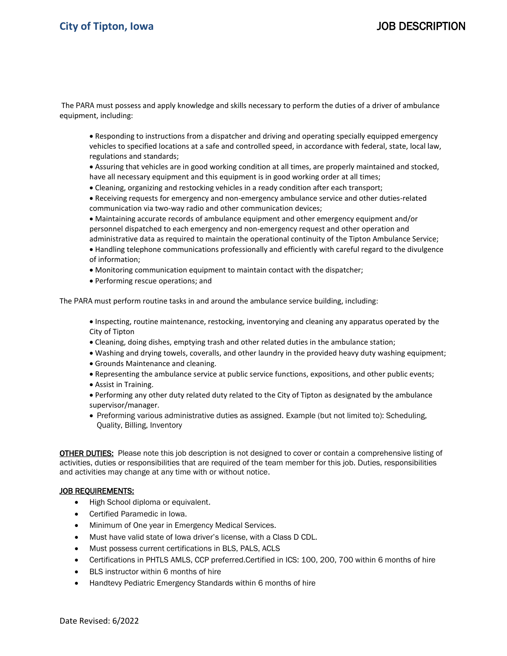# **City of Tipton, Iowa** JOB DESCRIPTION

The PARA must possess and apply knowledge and skills necessary to perform the duties of a driver of ambulance equipment, including:

• Responding to instructions from a dispatcher and driving and operating specially equipped emergency vehicles to specified locations at a safe and controlled speed, in accordance with federal, state, local law, regulations and standards;

• Assuring that vehicles are in good working condition at all times, are properly maintained and stocked, have all necessary equipment and this equipment is in good working order at all times;

• Cleaning, organizing and restocking vehicles in a ready condition after each transport;

• Receiving requests for emergency and non-emergency ambulance service and other duties-related communication via two-way radio and other communication devices;

• Maintaining accurate records of ambulance equipment and other emergency equipment and/or personnel dispatched to each emergency and non-emergency request and other operation and administrative data as required to maintain the operational continuity of the Tipton Ambulance Service;

• Handling telephone communications professionally and efficiently with careful regard to the divulgence of information;

- Monitoring communication equipment to maintain contact with the dispatcher;
- Performing rescue operations; and

The PARA must perform routine tasks in and around the ambulance service building, including:

• Inspecting, routine maintenance, restocking, inventorying and cleaning any apparatus operated by the City of Tipton

- Cleaning, doing dishes, emptying trash and other related duties in the ambulance station;
- Washing and drying towels, coveralls, and other laundry in the provided heavy duty washing equipment;
- Grounds Maintenance and cleaning.
- Representing the ambulance service at public service functions, expositions, and other public events;
- Assist in Training.
- Performing any other duty related duty related to the City of Tipton as designated by the ambulance supervisor/manager.
- Preforming various administrative duties as assigned. Example (but not limited to): Scheduling, Quality, Billing, Inventory

OTHER DUTIES: Please note this job description is not designed to cover or contain a comprehensive listing of activities, duties or responsibilities that are required of the team member for this job. Duties, responsibilities and activities may change at any time with or without notice.

### JOB REQUIREMENTS:

- High School diploma or equivalent.
- Certified Paramedic in Iowa.
- Minimum of One year in Emergency Medical Services.
- Must have valid state of Iowa driver's license, with a Class D CDL.
- Must possess current certifications in BLS, PALS, ACLS
- Certifications in PHTLS AMLS, CCP preferred.Certified in ICS: 100, 200, 700 within 6 months of hire
- BLS instructor within 6 months of hire
- Handtevy Pediatric Emergency Standards within 6 months of hire